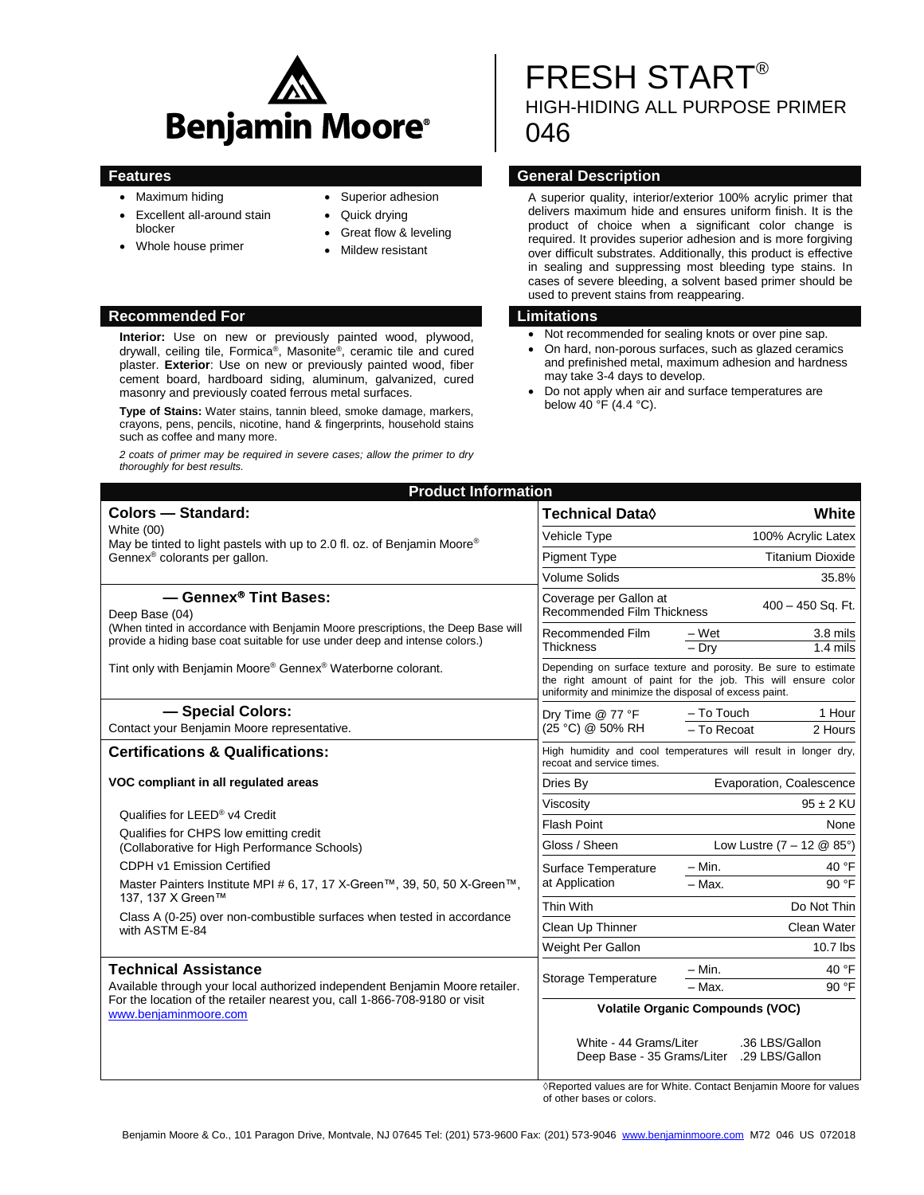

- Maximum hiding
- Excellent all-around stain blocker
- Whole house primer
- Superior adhesion
- Quick drying
- Great flow & leveling
- Mildew resistant

#### **Recommended For Limitations**

**Interior:** Use on new or previously painted wood, plywood, drywall, ceiling tile, Formica® , Masonite® , ceramic tile and cured plaster. **Exterior**: Use on new or previously painted wood, fiber cement board, hardboard siding, aluminum, galvanized, cured masonry and previously coated ferrous metal surfaces.

**Type of Stains:** Water stains, tannin bleed, smoke damage, markers, crayons, pens, pencils, nicotine, hand & fingerprints, household stains such as coffee and many more.

*2 coats of primer may be required in severe cases; allow the primer to dry thoroughly for best results.*

# FRESH START HIGH-HIDING ALL PURPOSE PRIMER 046

### **Features General Description**

A superior quality, interior/exterior 100% acrylic primer that delivers maximum hide and ensures uniform finish. It is the product of choice when a significant color change is required. It provides superior adhesion and is more forgiving over difficult substrates. Additionally, this product is effective in sealing and suppressing most bleeding type stains. In cases of severe bleeding, a solvent based primer should be used to prevent stains from reappearing.

- Not recommended for sealing knots or over pine sap.
- On hard, non-porous surfaces, such as glazed ceramics and prefinished metal, maximum adhesion and hardness may take 3-4 days to develop.
- Do not apply when air and surface temperatures are below 40 °F (4.4 °C).

| Colors - Standard:<br>White (00)<br>May be tinted to light pastels with up to 2.0 fl. oz. of Benjamin Moore®<br>Gennex <sup>®</sup> colorants per gallon.                                                              | Technical Data <sup>0</sup>                                                                                                                                                              | White                               |                                  |
|------------------------------------------------------------------------------------------------------------------------------------------------------------------------------------------------------------------------|------------------------------------------------------------------------------------------------------------------------------------------------------------------------------------------|-------------------------------------|----------------------------------|
|                                                                                                                                                                                                                        | <b>Vehicle Type</b>                                                                                                                                                                      | 100% Acrylic Latex                  |                                  |
|                                                                                                                                                                                                                        | <b>Pigment Type</b>                                                                                                                                                                      | <b>Titanium Dioxide</b>             |                                  |
|                                                                                                                                                                                                                        | <b>Volume Solids</b>                                                                                                                                                                     | 35.8%                               |                                  |
| - Gennex <sup>®</sup> Tint Bases:<br>Deep Base (04)<br>(When tinted in accordance with Benjamin Moore prescriptions, the Deep Base will<br>provide a hiding base coat suitable for use under deep and intense colors.) | Coverage per Gallon at<br>400 - 450 Sq. Ft.<br><b>Recommended Film Thickness</b>                                                                                                         |                                     |                                  |
|                                                                                                                                                                                                                        | Recommended Film<br><b>Thickness</b>                                                                                                                                                     | $-Wet$<br>$-$ Drv                   | 3.8 mils<br>$1.4$ mils           |
| Tint only with Benjamin Moore® Gennex® Waterborne colorant.                                                                                                                                                            | Depending on surface texture and porosity. Be sure to estimate<br>the right amount of paint for the job. This will ensure color<br>uniformity and minimize the disposal of excess paint. |                                     |                                  |
| - Special Colors:                                                                                                                                                                                                      | Dry Time @ 77 °F<br>(25 °C) @ 50% RH                                                                                                                                                     | - To Touch                          | 1 Hour                           |
| Contact your Benjamin Moore representative.                                                                                                                                                                            |                                                                                                                                                                                          | $-$ To Recoat                       | 2 Hours                          |
| <b>Certifications &amp; Qualifications:</b>                                                                                                                                                                            | High humidity and cool temperatures will result in longer dry,<br>recoat and service times.                                                                                              |                                     |                                  |
| VOC compliant in all regulated areas                                                                                                                                                                                   | Dries By                                                                                                                                                                                 | Evaporation, Coalescence            |                                  |
| Qualifies for LEED® v4 Credit                                                                                                                                                                                          | Viscositv                                                                                                                                                                                | $95 \pm 2$ KU                       |                                  |
| Qualifies for CHPS low emitting credit                                                                                                                                                                                 | <b>Flash Point</b><br>None                                                                                                                                                               |                                     |                                  |
| (Collaborative for High Performance Schools)                                                                                                                                                                           | Gloss / Sheen                                                                                                                                                                            | Low Lustre $(7 - 12 \& 85^{\circ})$ |                                  |
| CDPH v1 Emission Certified                                                                                                                                                                                             | Surface Temperature                                                                                                                                                                      | $-$ Min.                            | 40 °F                            |
| Master Painters Institute MPI # 6, 17, 17 X-Green™, 39, 50, 50 X-Green™,<br>137, 137 X Green™<br>Class A (0-25) over non-combustible surfaces when tested in accordance<br>with ASTM E-84                              | at Application                                                                                                                                                                           | - Max.                              | 90 °F                            |
|                                                                                                                                                                                                                        | Thin With                                                                                                                                                                                | Do Not Thin                         |                                  |
|                                                                                                                                                                                                                        | Clean Up Thinner                                                                                                                                                                         | Clean Water                         |                                  |
|                                                                                                                                                                                                                        | Weight Per Gallon                                                                                                                                                                        | 10.7 lbs                            |                                  |
| <b>Technical Assistance</b><br>Available through your local authorized independent Benjamin Moore retailer.<br>For the location of the retailer nearest you, call 1-866-708-9180 or visit<br>www.benjaminmoore.com     | Storage Temperature                                                                                                                                                                      | $-$ Min.                            | 40 °F                            |
|                                                                                                                                                                                                                        |                                                                                                                                                                                          | - Max.                              | 90 °F                            |
|                                                                                                                                                                                                                        | <b>Volatile Organic Compounds (VOC)</b>                                                                                                                                                  |                                     |                                  |
|                                                                                                                                                                                                                        | White - 44 Grams/Liter<br>Deep Base - 35 Grams/Liter                                                                                                                                     |                                     | .36 LBS/Gallon<br>.29 LBS/Gallon |

**Product Information**

◊Reported values are for White. Contact Benjamin Moore for values of other bases or colors.